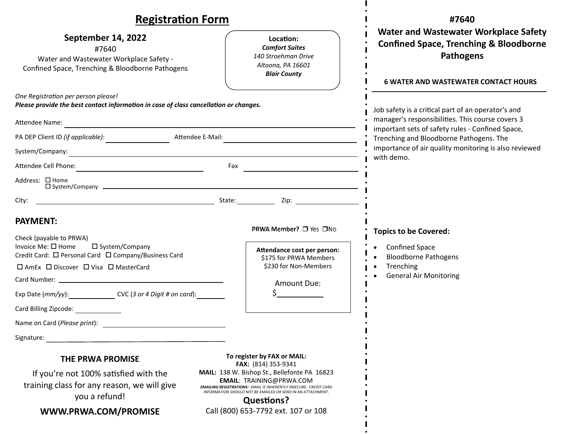| <b>Registration Form</b>                                                                                                                                                                                                                                                                                                       |                                                                                                                                                                                                                                                                                                                                              | #7640                                                                                                                                                                |
|--------------------------------------------------------------------------------------------------------------------------------------------------------------------------------------------------------------------------------------------------------------------------------------------------------------------------------|----------------------------------------------------------------------------------------------------------------------------------------------------------------------------------------------------------------------------------------------------------------------------------------------------------------------------------------------|----------------------------------------------------------------------------------------------------------------------------------------------------------------------|
| September 14, 2022<br>#7640<br>Water and Wastewater Workplace Safety -<br>Confined Space, Trenching & Bloodborne Pathogens                                                                                                                                                                                                     | Location:<br><b>Comfort Suites</b><br>140 Stroehman Drive<br>Altoona, PA 16601<br><b>Blair County</b>                                                                                                                                                                                                                                        | <b>Water and Wastewater Workplace Safety</b><br><b>Confined Space, Trenching &amp; Bloodborne</b><br><b>Pathogens</b><br><b>6 WATER AND WASTEWATER CONTACT HOURS</b> |
| One Registration per person please!<br>Please provide the best contact information in case of class cancellation or changes.                                                                                                                                                                                                   |                                                                                                                                                                                                                                                                                                                                              | Job safety is a critical part of an operator's and                                                                                                                   |
| <b>Attendee Name:</b>                                                                                                                                                                                                                                                                                                          |                                                                                                                                                                                                                                                                                                                                              | manager's responsibilities. This course covers 3<br>important sets of safety rules - Confined Space,<br>Trenching and Bloodborne Pathogens. The                      |
| PA DEP Client ID (if applicable): Attendee E-Mail:                                                                                                                                                                                                                                                                             |                                                                                                                                                                                                                                                                                                                                              |                                                                                                                                                                      |
|                                                                                                                                                                                                                                                                                                                                |                                                                                                                                                                                                                                                                                                                                              | importance of air quality monitoring is also reviewed<br>with demo.                                                                                                  |
| Attendee Cell Phone: <u>Attendee Cell Phone: Attendee Cell Phone: Attendee Cell Phone:</u>                                                                                                                                                                                                                                     |                                                                                                                                                                                                                                                                                                                                              |                                                                                                                                                                      |
| Address: □ Home                                                                                                                                                                                                                                                                                                                |                                                                                                                                                                                                                                                                                                                                              |                                                                                                                                                                      |
| City:                                                                                                                                                                                                                                                                                                                          | example and the contract of the contract of the contract of the contract of the contract of the contract of the contract of the contract of the contract of the contract of the contract of the contract of the contract of th                                                                                                               |                                                                                                                                                                      |
| <b>PAYMENT:</b><br>Check (payable to PRWA)<br>Invoice Me: □ Home<br>□ System/Company<br>Credit Card: □ Personal Card □ Company/Business Card<br>□ AmEx □ Discover □ Visa □ MasterCard<br>Exp Date (mm/yy): CVC (3 or 4 Digit # on card):<br>Card Billing Zipcode: ______________<br>Name on Card (Please print):<br>Signature: | PRWA Member? □ Yes □No<br>Attendance cost per person:<br>\$175 for PRWA Members<br>\$230 for Non-Members<br>Amount Due:                                                                                                                                                                                                                      | <b>Topics to be Covered:</b><br><b>Confined Space</b><br><b>Bloodborne Pathogens</b><br>Trenching<br><b>General Air Monitoring</b>                                   |
| THE PRWA PROMISE<br>If you're not 100% satisfied with the<br>training class for any reason, we will give<br>you a refund!<br>WWW.PRWA.COM/PROMISE                                                                                                                                                                              | To register by FAX or MAIL:<br>FAX: (814) 353-9341<br>MAIL: 138 W. Bishop St., Bellefonte PA 16823<br><b>EMAIL: TRAINING@PRWA.COM</b><br><b>EMAILING REGISTRATIONS: EMAIL IS INHERENTLY INSECURE. CREDIT CARD</b><br>INFORMATION SHOULD NOT BE EMAILED OR SEND IN AN ATTACHMENT.<br><b>Questions?</b><br>Call (800) 653-7792 ext. 107 or 108 |                                                                                                                                                                      |

п